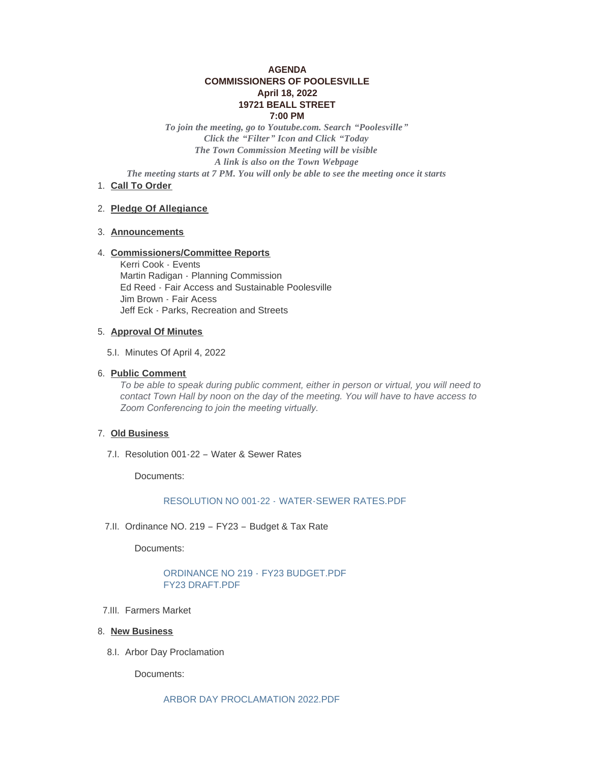# **AGENDA COMMISSIONERS OF POOLESVILLE April 18, 2022 19721 BEALL STREET 7:00 PM**

*To join the meeting, go to Youtube.com. Search "Poolesville" Click the "Filter" Icon and Click "Today The Town Commission Meeting will be visible A link is also on the Town Webpage The meeting starts at 7 PM. You will only be able to see the meeting once it starts*

1. Call To Order

#### **Pledge Of Allegiance** 2.

### **Announcements** 3.

### **Commissioners/Committee Reports** 4.

Kerri Cook - Events Martin Radigan - Planning Commission Ed Reed - Fair Access and Sustainable Poolesville Jim Brown - Fair Acess Jeff Eck - Parks, Recreation and Streets

#### **Approval Of Minutes** 5.

5.I. Minutes Of April 4, 2022

### **Public Comment** 6.

*To be able to speak during public comment, either in person or virtual, you will need to contact Town Hall by noon on the day of the meeting. You will have to have access to Zoom Conferencing to join the meeting virtually.* 

### **Old Business** 7.

7.I. Resolution 001-22 - Water & Sewer Rates

Documents:

### RESOLUTION NO 001-22 - [WATER-SEWER RATES.PDF](https://www.poolesvillemd.gov/AgendaCenter/ViewFile/Item/4199?fileID=7111)

7.II. Ordinance NO. 219 - FY23 - Budget & Tax Rate

Documents:

# [ORDINANCE NO 219 -](https://www.poolesvillemd.gov/AgendaCenter/ViewFile/Item/4200?fileID=7112) FY23 BUDGET.PDF [FY23 DRAFT.PDF](https://www.poolesvillemd.gov/AgendaCenter/ViewFile/Item/4200?fileID=7114)

- 7.III. Farmers Market
- 8. New Business
	- 8.I. Arbor Day Proclamation

Documents: